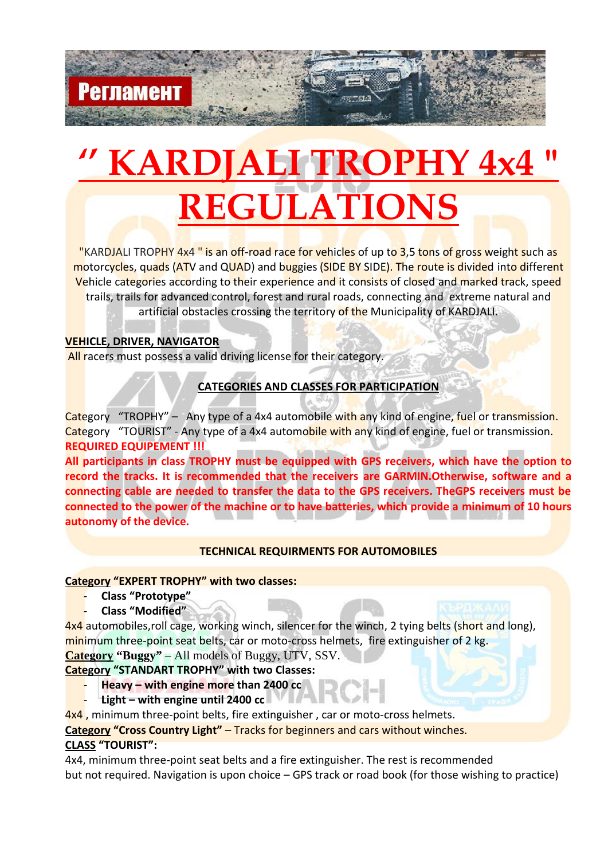# **KARDJALI TROPHY 4: REGULATIONS**

"KARDJALI TROPHY 4x4" is an off-road race for vehicles of up to 3,5 tons of gross weight such as motorcycles, quads (ATV and QUAD) and buggies (SIDE BY SIDE). The route is divided into different Vehicle categories according to their experience and it consists of closed and marked track, speed trails, trails for advanced control, forest and rural roads, connecting and extreme natural and artificial obstacles crossing the territory of the Municipality of KARDJALI.

# **VEHICLE, DRIVER, NAVIGATOR**

Регламен

All racers must possess a valid driving license for their category.

# **CATEGORIES AND CLASSES FOR PARTICIPATION**

Category "TROPHY" – Any type of a 4x4 automobile with any kind of engine, fuel or transmission. Category "TOURIST" - Any type of a 4x4 automobile with any kind of engine, fuel or transmission. **REQUIRED EQUIPEMENT !!!**

**All participants in class TROPHY must be equipped with GPS receivers, which have the option to record the tracks. It is recommended that the receivers are GARMIN.Otherwise, software and a connecting cable are needed to transfer the data to the GPS receivers. TheGPS receivers must be connected to the power of the machine or to have batteries, which provide a minimum of 10 hours autonomy of the device.**

# **TECHNICAL REQUIRMENTS FOR AUTOMOBILES**

# **Category "EXPERT TROPHY" with two classes:**

- **Class "Prototype"**
- **Class "Modified"**

4x4 automobiles, roll cage, working winch, silencer for the winch, 2 tying belts (short and long), minimum three-point seat belts, car or moto-cross helmets, fire extinguisher of 2 kg. **Category "Buggy"** – All models of Buggy, UTV, SSV.

# **Category "STANDART TROPHY" with two Classes:**

- **Heavy – with engine more than 2400 cc**
- **Light – with engine until 2400 cc**

4x4, minimum three-point belts, fire extinguisher, car or moto-cross helmets.

**Category "Cross Country Light"** – Tracks for beginners and cars without winches.

# **CLASS "TOURIST":**

4x4, minimum three-point seat belts and a fire extinguisher. The rest is recommended but not required. Navigation is upon choice – GPS track or road book (for those wishing to practice)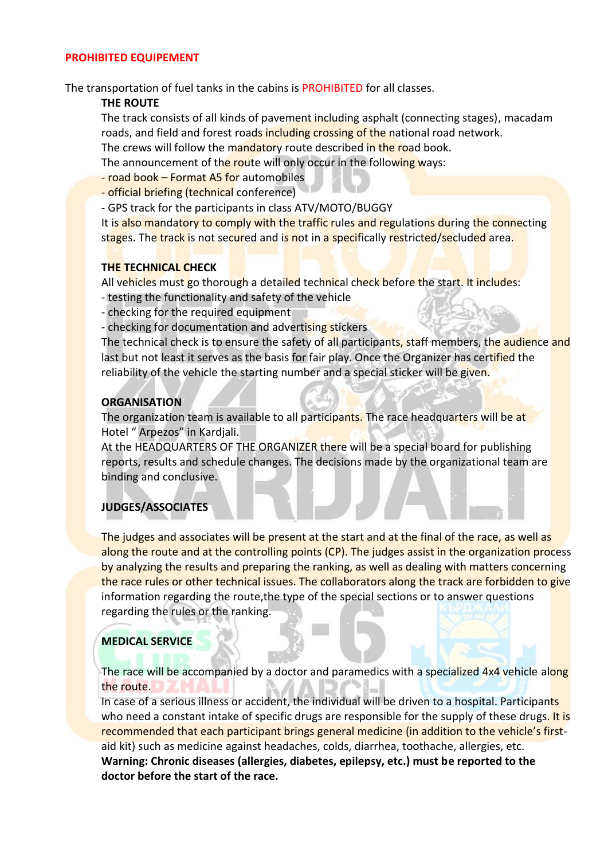#### **PROHIBITED EQUIPEMENT**

The transportation of fuel tanks in the cabins is PROHIBITED for all classes.

## **THE ROUTE**

The track consists of all kinds of pavement including asphalt (connecting stages), macadam roads, and field and forest roads including crossing of the national road network.

The crews will follow the mandatory route described in the road book.

The announcement of the route will only occur in the following ways:

- road book – Format A5 for automobiles

- official briefing (technical conference)

- GPS track for the participants in class ATV/MOTO/BUGGY

It is also mandatory to comply with the traffic rules and regulations during the connecting stages. The track is not secured and is not in a specifically restricted/secluded area.

## **THE TECHNICAL CHECK**

All vehicles must go thorough a detailed technical check before the start. It includes:

- testing the functionality and safety of the vehicle
- checking for the required equipment
- checking for documentation and advertising stickers

The technical check is to ensure the safety of all participants, staff members, the audience and last but not least it serves as the basis for fair play. Once the Organizer has certified the reliability of the vehicle the starting number and a special sticker will be given.

# **ORGANISATION**

The organization team is available to all participants. The race headquarters will be at Hotel " Arpezos" in Kardjali.

At the HEADQUARTERS OF THE ORGANIZER there will be a special board for publishing reports, results and schedule changes. The decisions made by the organizational team are binding and conclusive.

# **JUDGES/ASSOCIATES**

The judges and associates will be present at the start and at the final of the race, as well as along the route and at the controlling points (CP). The judges assist in the organization process by analyzing the results and preparing the ranking, as well as dealing with matters concerning the race rules or other technical issues. The collaborators along the track are forbidden to give information regarding the route,the type of the special sections or to answer questions regarding the rules or the ranking.

# **MEDICAL SERVICE**

The race will be accompanied by a doctor and paramedics with a specialized 4x4 vehicle along the route.

In case of a serious illness or accident, the individual will be driven to a hospital. Participants who need a constant intake of specific drugs are responsible for the supply of these drugs. It is recommended that each participant brings general medicine (in addition to the vehicle's first aid kit) such as medicine against headaches, colds, diarrhea, toothache, allergies, etc. **Warning: Chronic diseases (allergies, diabetes, epilepsy, etc.) must be reported to the doctor before the start of the race.**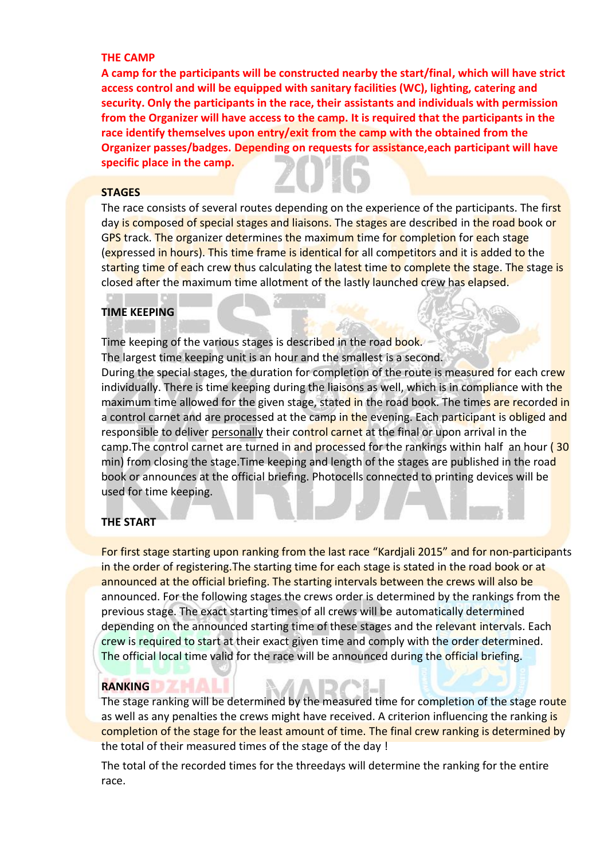#### **THE CAMP**

**A camp for the participants will be constructed nearby the start/final, which will have strict access control and will be equipped with sanitary facilities (WC), lighting, catering and security. Only the participants in the race, their assistants and individuals with permission from the Organizer will have access to the camp. It is required that the participants in the race identify themselves upon entry/exit from the camp with the obtained from the Organizer passes/badges. Depending on requests for assistance,each participant will have specific place in the camp.**

#### **STAGES**

The race consists of several routes depending on the experience of the participants. The first day is composed of special stages and liaisons. The stages are described in the road book or GPS track. The organizer determines the maximum time for completion for each stage (expressed in hours). This time frame is identical for all competitors and it is added to the starting time of each crew thus calculating the latest time to complete the stage. The stage is closed after the maximum time allotment of the lastly launched crew has elapsed.

#### **TIME KEEPING**

Time keeping of the various stages is described in the road book. The largest time keeping unit is an hour and the smallest is a second. During the special stages, the duration for completion of the route is measured for each crew individually. There is time keeping during the liaisons as well, which is in compliance with the maximum time allowed for the given stage, stated in the road book. The times are recorded in a control carnet and are processed at the camp in the evening. Each participant is obliged and responsible to deliver personally their control carnet at the final or upon arrival in the camp. The control carnet are turned in and processed for the rankings within half an hour (30 min) from closing the stage. Time keeping and length of the stages are published in the road book or announces at the official briefing. Photocells connected to printing devices will be used for time keeping.

# **THE START**

For first stage starting upon ranking from the last race "Kardjali 2015" and for non-participants in the order of registering. The starting time for each stage is stated in the road book or at announced at the official briefing. The starting intervals between the crews will also be announced. For the following stages the crews order is determined by the rankings from the previous stage. The exact starting times of all crews will be automatically determined depending on the announced starting time of these stages and the relevant intervals. Each crew is required to start at their exact given time and comply with the order determined. The official local time valid for the race will be announced during the official briefing.

#### **RANKING**

The stage ranking will be determined by the measured time for completion of the stage route as well as any penalties the crews might have received. A criterion influencing the ranking is completion of the stage for the least amount of time. The final crew ranking is determined by the total of their measured times of the stage of the day !

The total of the recorded times for the threedays will determine the ranking for the entire race.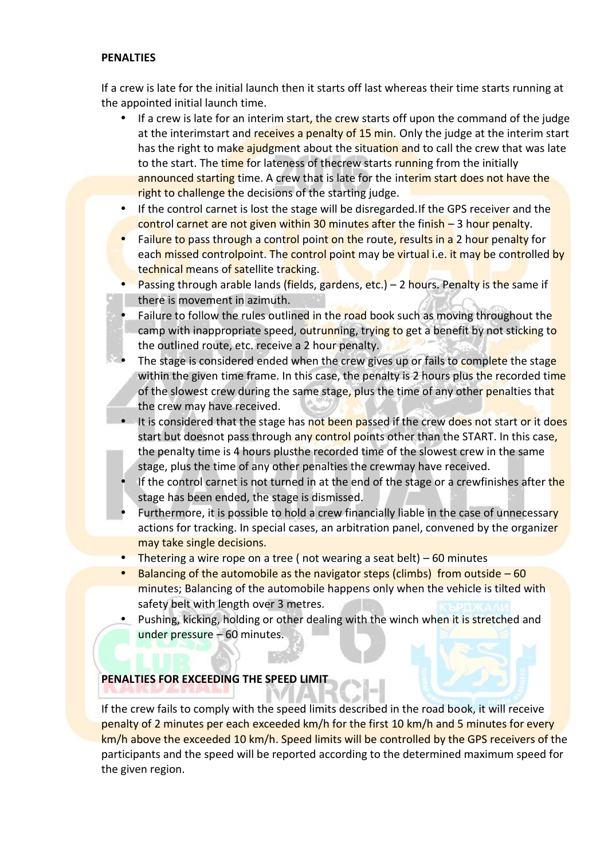## **PENALTIES**

If a crew is late for the initial launch then it starts off last whereas their time starts running at the appointed initial launch time.

- If a crew is late for an interim start, the crew starts off upon the command of the judge at the interimstart and receives a penalty of 15 min. Only the judge at the interim start has the right to make ajudgment about the situation and to call the crew that was late to the start. The time for lateness of thecrew starts running from the initially announced starting time. A crew that is late for the interim start does not have the right to challenge the decisions of the starting judge.
- If the control carnet is lost the stage will be disregarded. If the GPS receiver and the control carnet are not given within 30 minutes after the finish – 3 hour penalty.
- Failure to pass through a control point on the route, results in a 2 hour penalty for each missed controlpoint. The control point may be virtual i.e. it may be controlled by technical means of satellite tracking.
- Passing through arable lands (fields, gardens, etc.) 2 hours. Penalty is the same if there is movement in azimuth.
- Failure to follow the rules outlined in the road book such as moving throughout the camp with inappropriate speed, outrunning, trying to get a benefit by not sticking to the outlined route, etc. receive a 2 hour penalty.
- The stage is considered ended when the crew gives up or fails to complete the stage within the given time frame. In this case, the penalty is 2 hours plus the recorded time of the slowest crew during the same stage, plus the time of any other penalties that the crew may have received.
- It is considered that the stage has not been passed if the crew does not start or it does start but doesnot pass through any control points other than the START. In this case, the penalty time is 4 hours plusthe recorded time of the slowest crew in the same stage, plus the time of any other penalties the crewmay have received.
- If the control carnet is not turned in at the end of the stage or a crewfinishes after the stage has been ended, the stage is dismissed.
- Furthermore, it is possible to hold a crew financially liable in the case of unnecessary actions for tracking. In special cases, an arbitration panel, convened by the organizer may take single decisions.
- Thetering a wire rope on a tree ( not wearing a seat belt) 60 minutes
- $\bullet$  Balancing of the automobile as the navigator steps (climbs) from outside  $-60$ minutes; Balancing of the automobile happens only when the vehicle is tilted with safety belt with length over 3 metres.
- Pushing, kicking, holding or other dealing with the winch when it is stretched and under pressure – 60 minutes.

# **PENALTIES FOR EXCEEDING THE SPEED LIMIT**

If the crew fails to comply with the speed limits described in the road book, it will receive penalty of 2 minutes per each exceeded km/h for the first 10 km/h and 5 minutes for every km/h above the exceeded 10 km/h. Speed limits will be controlled by the GPS receivers of the participants and the speed will be reported according to the determined maximum speed for the given region.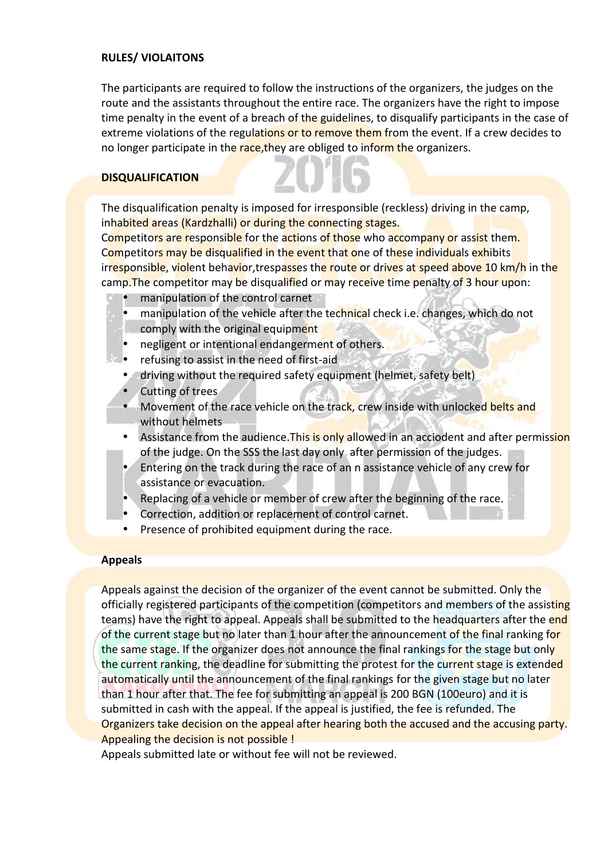# **RULES/ VIOLAITONS**

The participants are required to follow the instructions of the organizers, the judges on the route and the assistants throughout the entire race. The organizers have the right to impose time penalty in the event of a breach of the guidelines, to disqualify participants in the case of extreme violations of the regulations or to remove them from the event. If a crew decides to no longer participate in the race, they are obliged to inform the organizers.

# **DISQUALIFICATION**

The disqualification penalty is imposed for irresponsible (reckless) driving in the camp, inhabited areas (Kardzhalli) or during the connecting stages.

Competitors are responsible for the actions of those who accompany or assist them. Competitors may be disqualified in the event that one of these individuals exhibits irresponsible, violent behavior,trespasses the route or drives at speed above 10 km/h in the camp. The competitor may be disqualified or may receive time penalty of 3 hour upon:

- manipulation of the control carnet
- manipulation of the vehicle after the technical check i.e. changes, which do not comply with the original equipment
- negligent or intentional endangerment of others.
- refusing to assist in the need of first-aid
- $\bullet$  driving without the required safety equipment (helmet, safety belt)
- **Cutting of trees**
- Movement of the race vehicle on the track, crew inside with unlocked belts and without helmets
- Assistance from the audience. This is only allowed in an acciodent and after permission of the judge. On the SSS the last day only after permission of the judges.
- Entering on the track during the race of an n assistance vehicle of any crew for assistance or evacuation.
- Replacing of a vehicle or member of crew after the beginning of the race.
- Correction, addition or replacement of control carnet.
- Presence of prohibited equipment during the race.

# **Appeals**

Appeals against the decision of the organizer of the event cannot be submitted. Only the officially registered participants of the competition (competitors and members of the assisting teams) have the right to appeal. Appeals shall be submitted to the headquarters after the end of the current stage but no later than 1 hour after the announcement of the final ranking for the same stage. If the organizer does not announce the final rankings for the stage but only the current ranking, the deadline for submitting the protest for the current stage is extended automatically until the announcement of the final rankings for the given stage but no later than 1 hour after that. The fee for submitting an appeal is 200 BGN (100euro) and it is submitted in cash with the appeal. If the appeal is justified, the fee is refunded. The Organizers take decision on the appeal after hearing both the accused and the accusing party. Appealing the decision is not possible !

Appeals submitted late or without fee will not be reviewed.